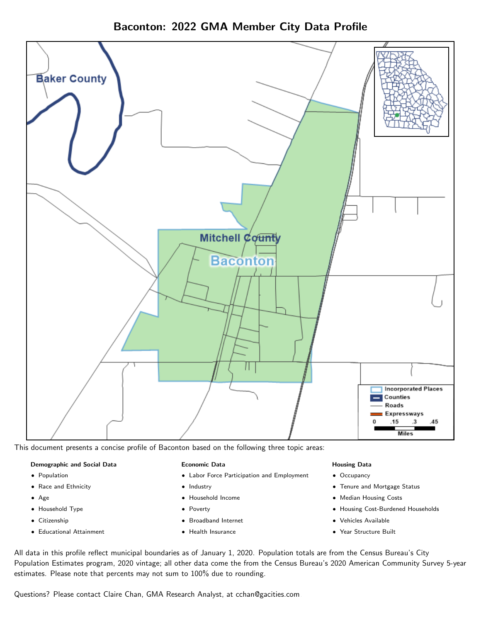



This document presents a concise profile of Baconton based on the following three topic areas:

#### Demographic and Social Data

- **•** Population
- Race and Ethnicity
- Age
- Household Type
- **Citizenship**
- Educational Attainment

#### Economic Data

- Labor Force Participation and Employment
- Industry
- Household Income
- Poverty
- Broadband Internet
- Health Insurance

#### Housing Data

- Occupancy
- Tenure and Mortgage Status
- Median Housing Costs
- Housing Cost-Burdened Households
- Vehicles Available
- Year Structure Built

All data in this profile reflect municipal boundaries as of January 1, 2020. Population totals are from the Census Bureau's City Population Estimates program, 2020 vintage; all other data come the from the Census Bureau's 2020 American Community Survey 5-year estimates. Please note that percents may not sum to 100% due to rounding.

Questions? Please contact Claire Chan, GMA Research Analyst, at [cchan@gacities.com.](mailto:cchan@gacities.com)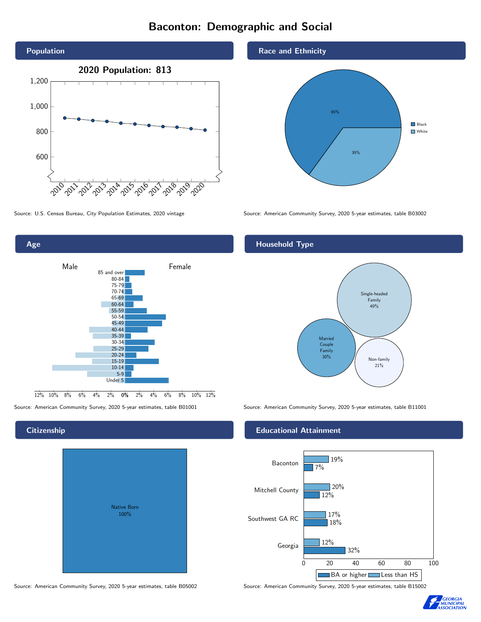# Baconton: Demographic and Social





### **Citizenship**

| Native Born<br>100% |  |
|---------------------|--|

Source: American Community Survey, 2020 5-year estimates, table B05002 Source: American Community Survey, 2020 5-year estimates, table B15002

#### Race and Ethnicity



Source: U.S. Census Bureau, City Population Estimates, 2020 vintage Source: American Community Survey, 2020 5-year estimates, table B03002

### Household Type



Source: American Community Survey, 2020 5-year estimates, table B01001 Source: American Community Survey, 2020 5-year estimates, table B11001

#### Educational Attainment



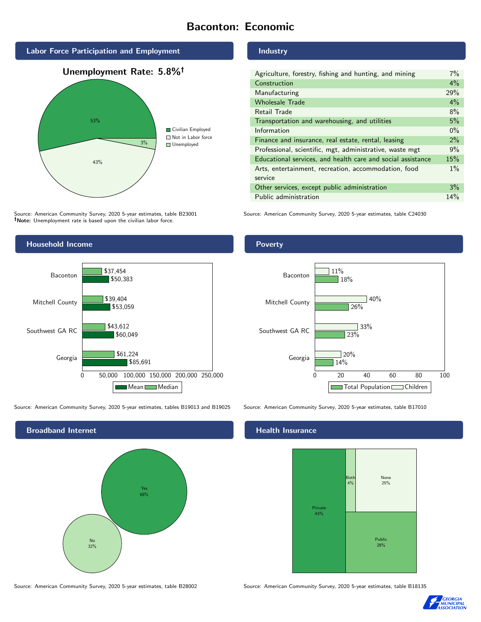# Baconton: Economic



Source: American Community Survey, 2020 5-year estimates, table B23001 Note: Unemployment rate is based upon the civilian labor force.

#### Industry

| Agriculture, forestry, fishing and hunting, and mining      |  |
|-------------------------------------------------------------|--|
| Construction                                                |  |
| Manufacturing                                               |  |
| <b>Wholesale Trade</b>                                      |  |
| Retail Trade                                                |  |
| Transportation and warehousing, and utilities               |  |
| Information                                                 |  |
| Finance and insurance, real estate, rental, leasing         |  |
| Professional, scientific, mgt, administrative, waste mgt    |  |
| Educational services, and health care and social assistance |  |
| Arts, entertainment, recreation, accommodation, food        |  |
| service                                                     |  |
| Other services, except public administration                |  |
| Public administration                                       |  |

Source: American Community Survey, 2020 5-year estimates, table C24030



Source: American Community Survey, 2020 5-year estimates, tables B19013 and B19025 Source: American Community Survey, 2020 5-year estimates, table B17010



#### Health Insurance



Source: American Community Survey, 2020 5-year estimates, table B28002 Source: American Community Survey, 2020 5-year estimates, table B18135



#### Poverty